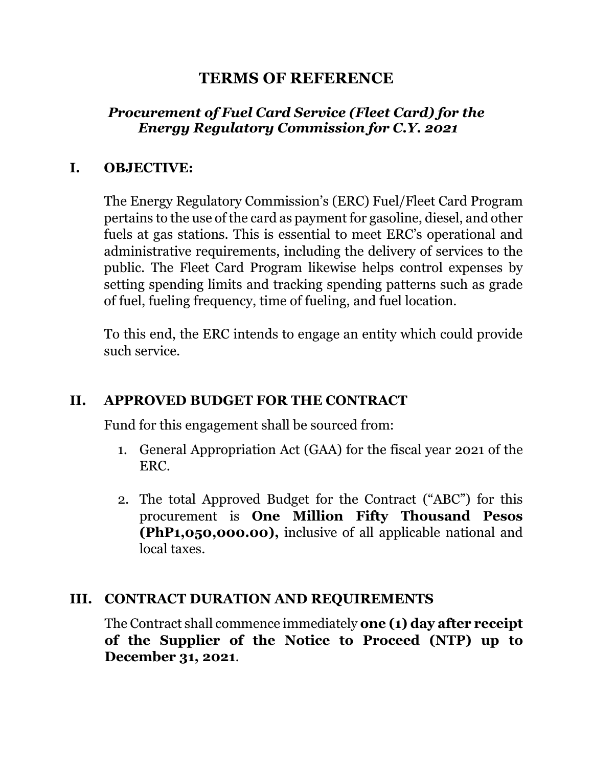# **TERMS OF REFERENCE**

# *Procurement of Fuel Card Service (Fleet Card) for the Energy Regulatory Commission for C.Y. 2021*

#### **I. OBJECTIVE:**

The Energy Regulatory Commission's (ERC) Fuel/Fleet Card Program pertains to the use of the card as payment for gasoline, diesel, and other fuels at gas stations. This is essential to meet ERC's operational and administrative requirements, including the delivery of services to the public. The Fleet Card Program likewise helps control expenses by setting spending limits and tracking spending patterns such as grade of fuel, fueling frequency, time of fueling, and fuel location.

To this end, the ERC intends to engage an entity which could provide such service.

#### **II. APPROVED BUDGET FOR THE CONTRACT**

Fund for this engagement shall be sourced from:

- 1. General Appropriation Act (GAA) for the fiscal year 2021 of the ERC.
- 2. The total Approved Budget for the Contract ("ABC") for this procurement is **One Million Fifty Thousand Pesos (PhP1,050,000.00),** inclusive of all applicable national and local taxes.

#### **III. CONTRACT DURATION AND REQUIREMENTS**

The Contract shall commence immediately **one (1) day after receipt of the Supplier of the Notice to Proceed (NTP) up to December 31, 2021**.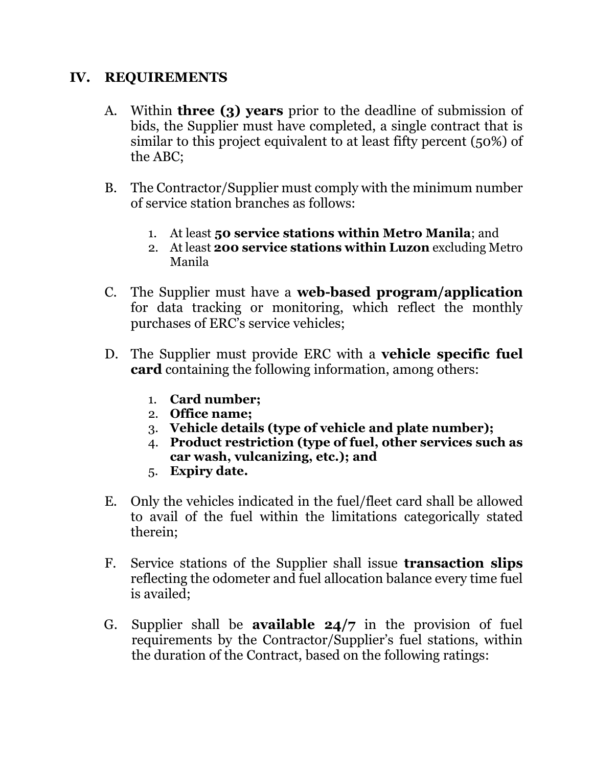#### **IV. REQUIREMENTS**

- A. Within **three (3) years** prior to the deadline of submission of bids, the Supplier must have completed, a single contract that is similar to this project equivalent to at least fifty percent (50%) of the ABC;
- B. The Contractor/Supplier must comply with the minimum number of service station branches as follows:
	- 1. At least **50 service stations within Metro Manila**; and
	- 2. At least **200 service stations within Luzon** excluding Metro Manila
- C. The Supplier must have a **web-based program/application** for data tracking or monitoring, which reflect the monthly purchases of ERC's service vehicles;
- D. The Supplier must provide ERC with a **vehicle specific fuel card** containing the following information, among others:
	- 1. **Card number;**
	- 2. **Office name;**
	- 3. **Vehicle details (type of vehicle and plate number);**
	- 4. **Product restriction (type of fuel, other services such as car wash, vulcanizing, etc.); and**
	- 5. **Expiry date.**
- E. Only the vehicles indicated in the fuel/fleet card shall be allowed to avail of the fuel within the limitations categorically stated therein;
- F. Service stations of the Supplier shall issue **transaction slips** reflecting the odometer and fuel allocation balance every time fuel is availed;
- G. Supplier shall be **available 24/7** in the provision of fuel requirements by the Contractor/Supplier's fuel stations, within the duration of the Contract, based on the following ratings: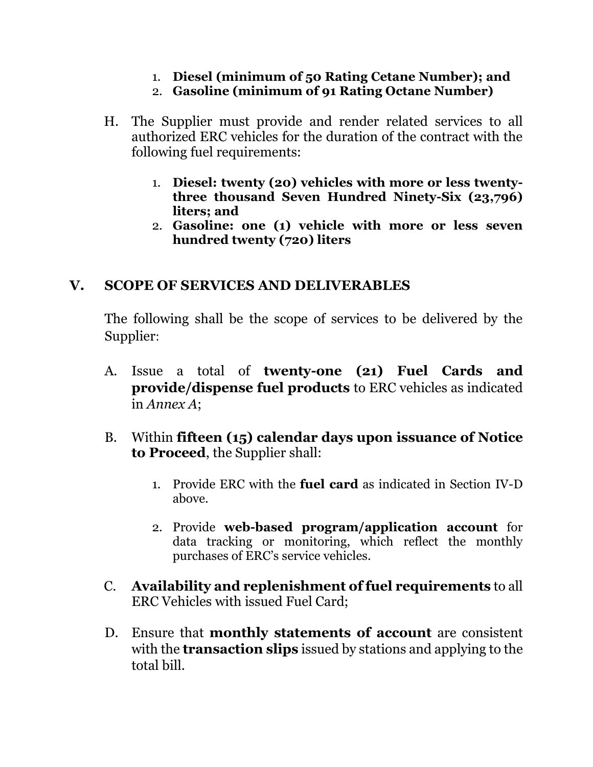- 1. **Diesel (minimum of 50 Rating Cetane Number); and**
- 2. **Gasoline (minimum of 91 Rating Octane Number)**
- H. The Supplier must provide and render related services to all authorized ERC vehicles for the duration of the contract with the following fuel requirements:
	- 1. **Diesel: twenty (20) vehicles with more or less twentythree thousand Seven Hundred Ninety-Six (23,796) liters; and**
	- 2. **Gasoline: one (1) vehicle with more or less seven hundred twenty (720) liters**

# **V. SCOPE OF SERVICES AND DELIVERABLES**

The following shall be the scope of services to be delivered by the Supplier:

- A. Issue a total of **twenty-one (21) Fuel Cards and provide/dispense fuel products** to ERC vehicles as indicated in *Annex A*;
- B. Within **fifteen (15) calendar days upon issuance of Notice to Proceed**, the Supplier shall:
	- 1. Provide ERC with the **fuel card** as indicated in Section IV-D above.
	- 2. Provide **web-based program/application account** for data tracking or monitoring, which reflect the monthly purchases of ERC's service vehicles.
- C. **Availability and replenishment of fuel requirements** to all ERC Vehicles with issued Fuel Card;
- D. Ensure that **monthly statements of account** are consistent with the **transaction slips** issued by stations and applying to the total bill.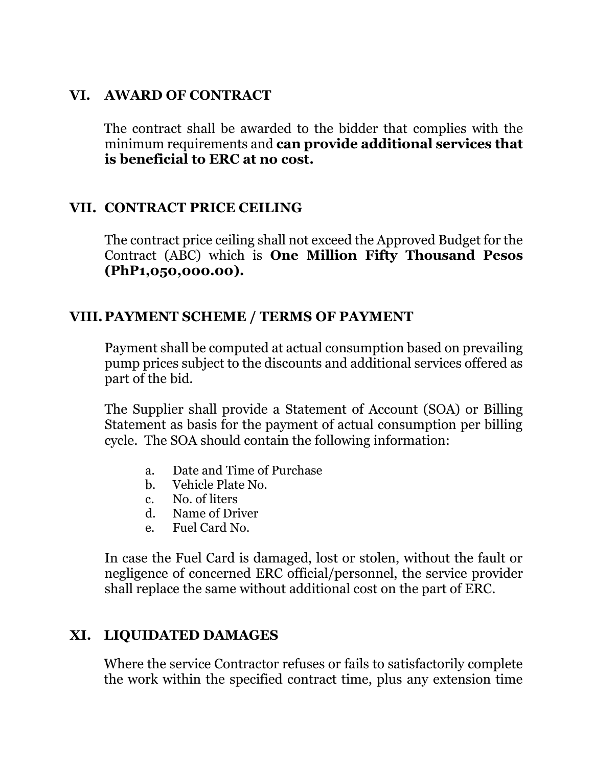#### **VI. AWARD OF CONTRACT**

The contract shall be awarded to the bidder that complies with the minimum requirements and **can provide additional services that is beneficial to ERC at no cost.**

#### **VII. CONTRACT PRICE CEILING**

The contract price ceiling shall not exceed the Approved Budget for the Contract (ABC) which is **One Million Fifty Thousand Pesos (PhP1,050,000.00).**

### **VIII. PAYMENT SCHEME / TERMS OF PAYMENT**

Payment shall be computed at actual consumption based on prevailing pump prices subject to the discounts and additional services offered as part of the bid.

The Supplier shall provide a Statement of Account (SOA) or Billing Statement as basis for the payment of actual consumption per billing cycle. The SOA should contain the following information:

- a. Date and Time of Purchase
- b. Vehicle Plate No.
- c. No. of liters
- d. Name of Driver
- e. Fuel Card No.

In case the Fuel Card is damaged, lost or stolen, without the fault or negligence of concerned ERC official/personnel, the service provider shall replace the same without additional cost on the part of ERC.

# **XI. LIQUIDATED DAMAGES**

Where the service Contractor refuses or fails to satisfactorily complete the work within the specified contract time, plus any extension time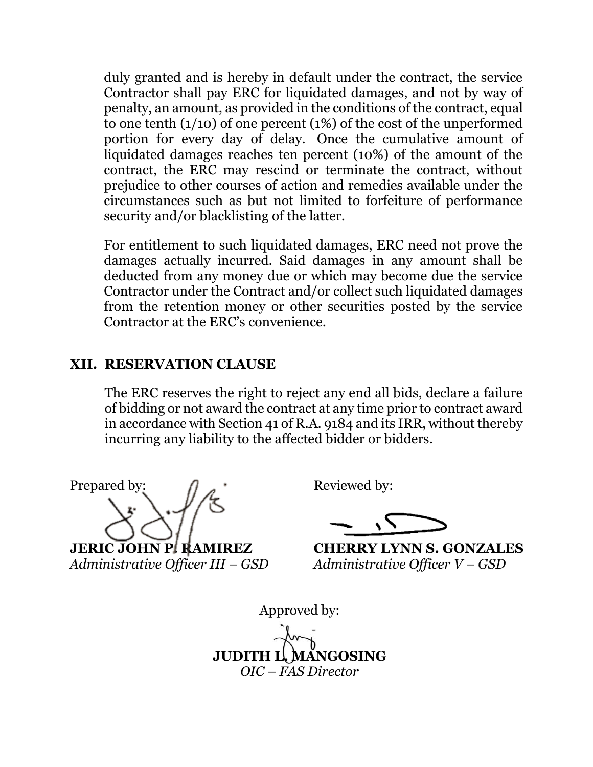duly granted and is hereby in default under the contract, the service Contractor shall pay ERC for liquidated damages, and not by way of penalty, an amount, as provided in the conditions of the contract, equal to one tenth  $(1/10)$  of one percent  $(1%)$  of the cost of the unperformed portion for every day of delay. Once the cumulative amount of liquidated damages reaches ten percent (10%) of the amount of the contract, the ERC may rescind or terminate the contract, without prejudice to other courses of action and remedies available under the circumstances such as but not limited to forfeiture of performance security and/or blacklisting of the latter.

For entitlement to such liquidated damages, ERC need not prove the damages actually incurred. Said damages in any amount shall be deducted from any money due or which may become due the service Contractor under the Contract and/or collect such liquidated damages from the retention money or other securities posted by the service Contractor at the ERC's convenience.

#### **XII. RESERVATION CLAUSE**

The ERC reserves the right to reject any end all bids, declare a failure of bidding or not award the contract at any time prior to contract award in accordance with Section 41 of R.A. 9184 and its IRR, without thereby incurring any liability to the affected bidder or bidders.

Prepared by:  $\bigcap$   $\bigcap$  Reviewed by:

**JERIC JOHN P. RAMIREZ** *Administrative Officer III – GSD Administrative Officer V – GSD*

**JERIC JOHN P. RAMIREZ CHERRY LYNN S. GONZALES**

Approved by: **JUDITH L. MANGOSING** *OIC – FAS Director*